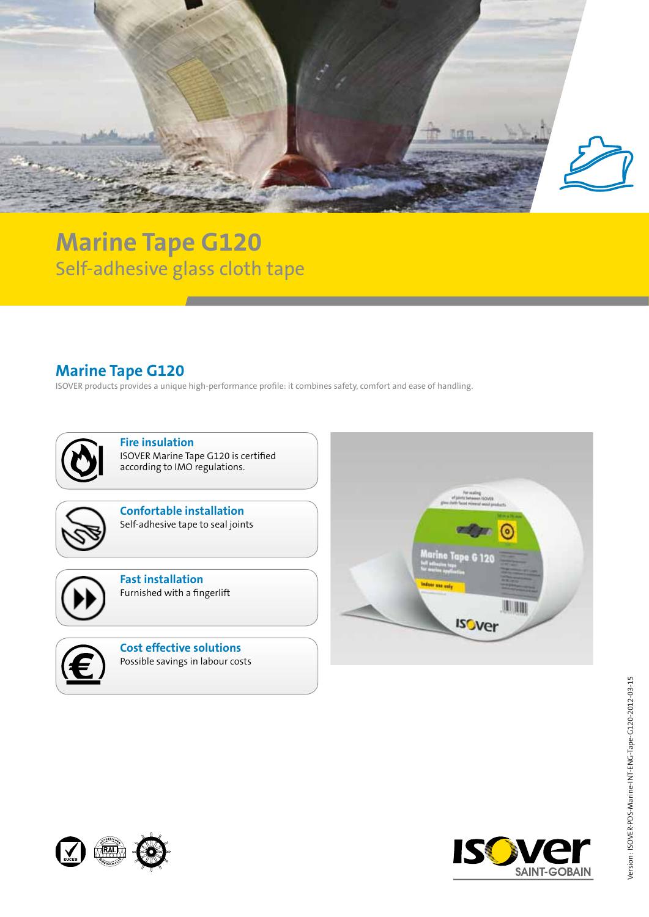

## **Marine Tape G120** Self-adhesive glass cloth tape

## **Marine Tape G120**

ISOVER products provides a unique high-performance profile: it combines safety, comfort and ease of handling.



**Fire insulation** ISOVER Marine Tape G120 is certified according to IMO regulations.



**Confortable installation** Self-adhesive tape to seal joints



**Fast installation** Furnished with a fingerlift



**Cost effective solutions** Possible savings in labour costs